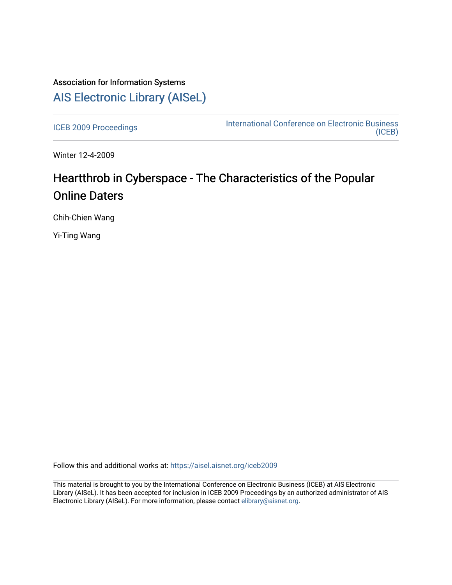## Association for Information Systems [AIS Electronic Library \(AISeL\)](https://aisel.aisnet.org/)

[ICEB 2009 Proceedings](https://aisel.aisnet.org/iceb2009) **International Conference on Electronic Business** [\(ICEB\)](https://aisel.aisnet.org/iceb) 

Winter 12-4-2009

# Heartthrob in Cyberspace - The Characteristics of the Popular Online Daters

Chih-Chien Wang

Yi-Ting Wang

Follow this and additional works at: [https://aisel.aisnet.org/iceb2009](https://aisel.aisnet.org/iceb2009?utm_source=aisel.aisnet.org%2Ficeb2009%2F149&utm_medium=PDF&utm_campaign=PDFCoverPages)

This material is brought to you by the International Conference on Electronic Business (ICEB) at AIS Electronic Library (AISeL). It has been accepted for inclusion in ICEB 2009 Proceedings by an authorized administrator of AIS Electronic Library (AISeL). For more information, please contact [elibrary@aisnet.org.](mailto:elibrary@aisnet.org%3E)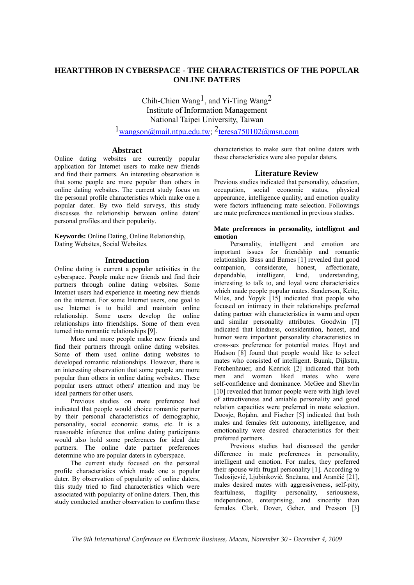## **HEARTTHROB IN CYBERSPACE - THE CHARACTERISTICS OF THE POPULAR ONLINE DATERS**

Chih-Chien Wang<sup>1</sup>, and Yi-Ting Wang<sup>2</sup> Institute of Information Management National Taipei University, Taiwan

 $1_{\text{wangson}(\hat{\omega} \text{mail}.\text{ntpu.edu.tw}; 2 \text{teresa} \cdot 750102(\hat{\omega} \text{msn.com})$ 

## **Abstract**

Online dating websites are currently popular application for Internet users to make new friends and find their partners. An interesting observation is that some people are more popular than others in online dating websites. The current study focus on the personal profile characteristics which make one a popular dater. By two field surveys, this study discusses the relationship between online daters' personal profiles and their popularity.

**Keywords:** Online Dating, Online Relationship, Dating Websites, Social Websites.

## **Introduction**

Online dating is current a popular activities in the cyberspace. People make new friends and find their partners through online dating websites. Some Internet users had experience in meeting new friends on the internet. For some Internet users, one goal to use Internet is to build and maintain online relationship. Some users develop the online relationships into friendships. Some of them even turned into romantic relationships [9].

More and more people make new friends and find their partners through online dating websites. Some of them used online dating websites to developed romantic relationships. However, there is an interesting observation that some people are more popular than others in online dating websites. These popular users attract others' attention and may be ideal partners for other users.

Previous studies on mate preference had indicated that people would choice romantic partner by their personal characteristics of demographic, personality, social economic status, etc. It is a reasonable inference that online dating participants would also hold some preferences for ideal date partners. The online date partner preferences determine who are popular daters in cyberspace.

The current study focused on the personal profile characteristics which made one a popular dater. By observation of popularity of online daters, this study tried to find characteristics which were associated with popularity of online daters. Then, this study conducted another observation to confirm these

characteristics to make sure that online daters with these characteristics were also popular daters.

## **Literature Review**

Previous studies indicated that personality, education, occupation, social economic status, physical appearance, intelligence quality, and emotion quality were factors influencing mate selection. Followings are mate preferences mentioned in previous studies.

#### **Mate preferences in personality, intelligent and emotion**

Personality, intelligent and emotion are important issues for friendship and romantic relationship. Buss and Barnes [1] revealed that good companion, considerate, honest, affectionate, dependable, intelligent, kind, understanding, interesting to talk to, and loyal were characteristics which made people popular mates. Sanderson, Keite, Miles, and Yopyk [15] indicated that people who focused on intimacy in their relationships preferred dating partner with characteristics in warm and open and similar personality attributes. Goodwin [7] indicated that kindness, consideration, honest, and humor were important personality characteristics in cross-sex preference for potential mates. Hoyt and Hudson [8] found that people would like to select mates who consisted of intelligent. Buunk, Dijkstra, Fetchenhauer, and Kenrick [2] indicated that both men and women liked mates who were self-confidence and dominance. McGee and Shevlin [10] revealed that humor people were with high level of attractiveness and amiable personality and good relation capacities were preferred in mate selection. Doosje, Rojahn, and Fischer [5] indicated that both males and females felt autonomy, intelligence, and emotionality were desired characteristics for their preferred partners.

Previous studies had discussed the gender difference in mate preferences in personality, intelligent and emotion. For males, they preferred their spouse with frugal personality [1]. According to Todosijević, Ljubinković, Snežana, and Arančić [21], males desired mates with aggressiveness, self-pity, fearfulness, fragility personality, seriousness, fearfulness, fragility personality, seriousness, independence, enterprising, and sincerity than females. Clark, Dover, Geher, and Presson [3]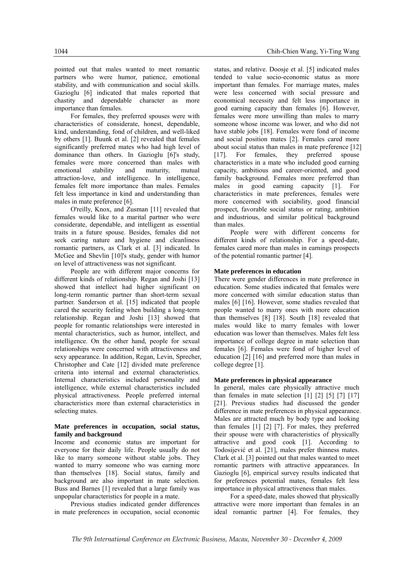pointed out that males wanted to meet romantic partners who were humor, patience, emotional stability, and with communication and social skills. Gazioglu [6] indicated that males reported that chastity and dependable character as more importance than females.

For females, they preferred spouses were with characteristics of considerate, honest, dependable, kind, understanding, fond of children, and well-liked by others [1]. Buunk et al. [2] revealed that females significantly preferred mates who had high level of dominance than others. In Gazioglu [6]'s study, females were more concerned than males with emotional stability and maturity, mutual attraction-love, and intelligence. In intelligence, females felt more importance than males. Females felt less importance in kind and understanding than males in mate preference [6].

O'reilly, Knox, and Zusman [11] revealed that females would like to a marital partner who were considerate, dependable, and intelligent as essential traits in a future spouse. Besides, females did not seek caring nature and hygiene and cleanliness romantic partners, as Clark et al. [3] indicated. In McGee and Shevlin [10]'s study, gender with humor on level of attractiveness was not significant.

People are with different major concerns for different kinds of relationship. Regan and Joshi [13] showed that intellect had higher significant on long-term romantic partner than short-term sexual partner. Sanderson et al. [15] indicated that people cared the security feeling when building a long-term relationship. Regan and Joshi [13] showed that people for romantic relationships were interested in mental characteristics, such as humor, intellect, and intelligence. On the other hand, people for sexual relationships were concerned with attractiveness and sexy appearance. In addition, Regan, Levin, Sprecher, Christopher and Cate [12] divided mate preference criteria into internal and external characteristics. Internal characteristics included personality and intelligence, while external characteristics included physical attractiveness. People preferred internal characteristics more than external characteristics in selecting mates.

#### **Mate preferences in occupation, social status, family and background**

Income and economic status are important for everyone for their daily life. People usually do not like to marry someone without stable jobs. They wanted to marry someone who was earning more than themselves [18]. Social status, family and background are also important in mate selection. Buss and Barnes [1] revealed that a large family was unpopular characteristics for people in a mate.

Previous studies indicated gender differences in mate preferences in occupation, social economic

status, and relative. Doosje et al. [5] indicated males tended to value socio-economic status as more important than females. For marriage mates, males were less concerned with social pressure and economical necessity and felt less importance in good earning capacity than females [6]. However, females were more unwilling than males to marry someone whose income was lower, and who did not have stable jobs [18]. Females were fond of income and social position mates [2]. Females cared more about social status than males in mate preference [12] [17]. For females, they preferred spouse characteristics in a mate who included good earning capacity, ambitious and career-oriented, and good family background. Females more preferred than males in good earning capacity [1]. For characteristics in mate preferences, females were more concerned with sociability, good financial prospect, favorable social status or rating, ambition and industrious, and similar political background than males.

People were with different concerns for different kinds of relationship. For a speed-date, females cared more than males in earnings prospects of the potential romantic partner [4].

#### **Mate preferences in education**

There were gender differences in mate preference in education. Some studies indicated that females were more concerned with similar education status than males [6] [16]. However, some studies revealed that people wanted to marry ones with more education than themselves [8] [18]. South [18] revealed that males would like to marry females with lower education was lower than themselves. Males felt less importance of college degree in mate selection than females [6]. Females were fond of higher level of education [2] [16] and preferred more than males in college degree [1].

#### **Mate preferences in physical appearance**

In general, males care physically attractive much than females in mate selection [1] [2] [5] [7] [17] [21]. Previous studies had discussed the gender difference in mate preferences in physical appearance. Males are attracted much by body type and looking than females [1] [2] [7]. For males, they preferred their spouse were with characteristics of physically attractive and good cook [1]. According to Todosijević et al. [21], males prefer thinness mates. Clark et al. [3] pointed out that males wanted to meet romantic partners with attractive appearances. In Gazioglu [6], empirical survey results indicated that for preferences potential mates, females felt less importance in physical attractiveness than males.

For a speed-date, males showed that physically attractive were more important than females in an ideal romantic partner [4]. For females, they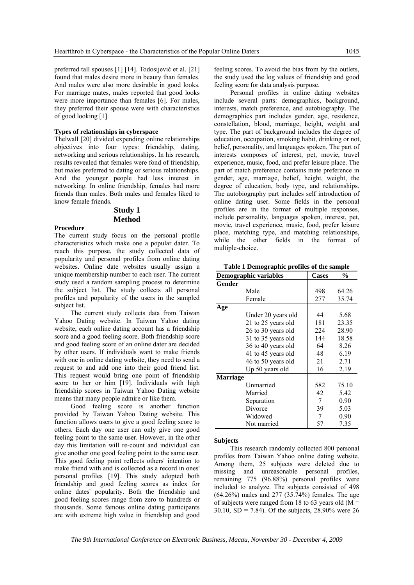preferred tall spouses [1] [14]. Todosijević et al. [21] found that males desire more in beauty than females. And males were also more desirable in good looks. For marriage mates, males reported that good looks were more importance than females [6]. For males, they preferred their spouse were with characteristics of good looking [1].

#### **Types of relationships in cyberspace**

Thelwall [20] divided expending online relationships objectives into four types: friendship, dating, networking and serious relationships. In his research, results revealed that females were fond of friendship, but males preferred to dating or serious relationships. And the younger people had less interest in networking. In online friendship, females had more friends than males. Both males and females liked to know female friends.

## **Study 1 Method**

#### **Procedure**

The current study focus on the personal profile characteristics which make one a popular dater. To reach this purpose, the study collected data of popularity and personal profiles from online dating websites. Online date websites usually assign a unique membership number to each user. The current study used a random sampling process to determine the subject list. The study collects all personal profiles and popularity of the users in the sampled subject list.

The current study collects data from Taiwan Yahoo Dating website. In Taiwan Yahoo dating website, each online dating account has a friendship score and a good feeling score. Both friendship score and good feeling score of an online dater are decided by other users. If individuals want to make friends with one in online dating website, they need to send a request to and add one into their good friend list. This request would bring one point of friendship score to her or him [19]. Individuals with high friendship scores in Taiwan Yahoo Dating website means that many people admire or like them.

Good feeling score is another function provided by Taiwan Yahoo Dating website. This function allows users to give a good feeling score to others. Each day one user can only give one good feeling point to the same user. However, in the other day this limitation will re-count and individual can give another one good feeling point to the same user. This good feeling point reflects others' intention to make friend with and is collected as a record in ones' personal profiles [19]. This study adopted both friendship and good feeling scores as index for online dates' popularity. Both the friendship and good feeling scores range from zero to hundreds or thousands. Some famous online dating participants are with extreme high value in friendship and good feeling scores. To avoid the bias from by the outlets, the study used the log values of friendship and good feeling score for data analysis purpose.

Personal profiles in online dating websites include several parts: demographics, background, interests, match preference, and autobiography. The demographics part includes gender, age, residence, constellation, blood, marriage, height, weight and type. The part of background includes the degree of education, occupation, smoking habit, drinking or not, belief, personality, and languages spoken. The part of interests composes of interest, pet, movie, travel experience, music, food, and prefer leisure place. The part of match preference contains mate preference in gender, age, marriage, belief, height, weight, the degree of education, body type, and relationships. The autobiography part includes self introduction of online dating user. Some fields in the personal profiles are in the format of multiple responses, include personality, languages spoken, interest, pet, movie, travel experience, music, food, prefer leisure place, matching type, and matching relationships, while the other fields in the format of multiple-choice.

|  |  | Table 1 Demographic profiles of the sample |  |  |  |
|--|--|--------------------------------------------|--|--|--|
|--|--|--------------------------------------------|--|--|--|

| <b>Demographic variables</b> |                    | <b>Cases</b> | $\frac{0}{0}$ |
|------------------------------|--------------------|--------------|---------------|
| Gender                       |                    |              |               |
|                              | Male               | 498          | 64.26         |
|                              | Female             | 277          | 35.74         |
| Age                          |                    |              |               |
|                              | Under 20 years old | 44           | 5.68          |
|                              | 21 to 25 years old | 181          | 23.35         |
|                              | 26 to 30 years old | 224          | 28.90         |
|                              | 31 to 35 years old | 144          | 18.58         |
|                              | 36 to 40 years old | 64           | 8.26          |
|                              | 41 to 45 years old | 48           | 6.19          |
|                              | 46 to 50 years old | 21           | 2.71          |
|                              | Up 50 years old    | 16           | 2.19          |
| <b>Marriage</b>              |                    |              |               |
|                              | Unmarried          | 582          | 75.10         |
|                              | Married            | 42           | 5.42          |
|                              | Separation         | 7            | 0.90          |
|                              | Divorce            | 39           | 5.03          |
|                              | Widowed            | 7            | 0.90          |
|                              | Not married        | 57           | 7.35          |

#### **Subjects**

This research randomly collected 800 personal profiles from Taiwan Yahoo online dating website. Among them, 25 subjects were deleted due to missing and unreasonable personal profiles, remaining 775 (96.88%) personal profiles were included to analyze. The subjects consisted of 498 (64.26%) males and 277 (35.74%) females. The age of subjects were ranged from 18 to 63 years old ( $M =$ 30.10,  $SD = 7.84$ ). Of the subjects, 28.90% were 26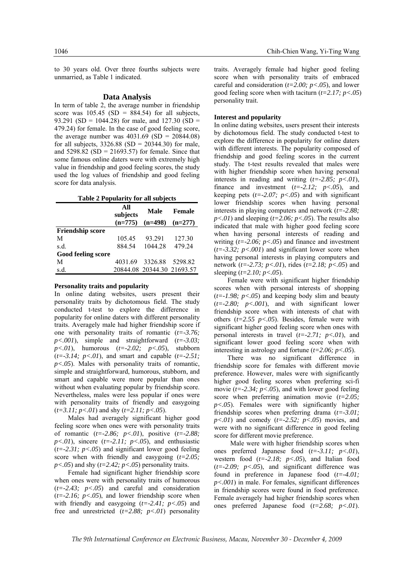to 30 years old. Over three fourths subjects were unmarried, as Table 1 indicated.

#### **Data Analysis**

In term of table 2, the average number in friendship score was  $105.45$  (SD = 884.54) for all subjects, 93.291 (SD = 1044.28) for male, and 127.30 (SD = 479.24) for female. In the case of good feeling score, the average number was  $4031.69$  (SD = 20844.08) for all subjects,  $3326.88$  (SD = 20344.30) for male, and  $5298.82$  (SD = 21693.57) for female. Since that some famous online daters were with extremely high value in friendship and good feeling scores, the study used the log values of friendship and good feeling score for data analysis.

| Table 2 Popularity for all subjects |
|-------------------------------------|
|-------------------------------------|

|                         | All<br>subjects | Male                       | <b>Female</b> |  |
|-------------------------|-----------------|----------------------------|---------------|--|
|                         | $(n=775)$       | $(n=498)$                  | $(n=277)$     |  |
| <b>Friendship score</b> |                 |                            |               |  |
| М                       | 105.45          | 93.291                     | 127.30        |  |
| s.d.                    | 884 54          | 1044 28                    | 479.24        |  |
| Good feeling score      |                 |                            |               |  |
| М                       | 4031.69         | 3326.88                    | 529882        |  |
| s.d.                    |                 | 20844.08 20344.30 21693.57 |               |  |

#### **Personality traits and popularity**

In online dating websites, users present their personality traits by dichotomous field. The study conducted t-test to explore the difference in popularity for online daters with different personality traits. Averagely male had higher friendship score if one with personality traits of romantic (*t=-3.76; p<.001*), simple and straightforward (*t=-3.03; p<.01*), humorous (*t=-2.02; p<.05*), stubborn (*t=-3.14; p<.01*), and smart and capable (*t=-2.51; p<.05*). Males with personality traits of romantic, simple and straightforward, humorous, stubborn, and smart and capable were more popular than ones without when evaluating popular by friendship score. Nevertheless, males were less popular if ones were with personality traits of friendly and easygoing (*t=3.11; p<.01*) and shy (*t=2.11; p<.05*).

Males had averagely significant higher good feeling score when ones were with personality traits of romantic (*t=-2.86; p<.01*), positive (*t=-2.88;*   $p<.01$ ), sincere ( $t=-2.11$ ;  $p<.05$ ), and enthusiastic  $(t=-2.31; p<0.05)$  and significant lower good feeling score when with friendly and easygoing (*t=2.05;*   $p$ <.05) and shy ( $t$ =2.42;  $p$ <.05) personality traits.

Female had significant higher friendship score when ones were with personality traits of humorous  $(t=-2.43; p<0.05)$  and careful and consideration  $(t=-2.16; p<0.05)$ , and lower friendship score when with friendly and easygoing (*t=-2.41; p<.05*) and free and unrestricted (*t=2.88; p<.01*) personality traits. Averagely female had higher good feeling score when with personality traits of embraced careful and consideration (*t=2.00; p<.05*), and lower good feeling score when with taciturn (*t=2.17; p<.05*) personality trait.

#### **Interest and popularity**

In online dating websites, users present their interests by dichotomous field. The study conducted t-test to explore the difference in popularity for online daters with different interests. The popularity composed of friendship and good feeling scores in the current study. The t-test results revealed that males were with higher friendship score when having personal interests in reading and writing  $(t=-2.85; p<.01)$ , finance and investment  $(t=-2.12; p<0.05)$ , and keeping pets  $(t=-2.07; p<0.05)$  and with significant lower friendship scores when having personal interests in playing computers and network (*t=-2.88;*   $p<01$  and sleeping ( $t=2.06$ ;  $p<05$ ). The results also indicated that male with higher good feeling score when having personal interests of reading and writing  $(t=2.06; p<0.05)$  and finance and investment  $(t=-3.32; p<0.001)$  and significant lower score when having personal interests in playing computers and network (*t=-2.73; p<.01*), rides (*t=2.18; p<.05*) and sleeping (*t=2.10; p<.05*).

Female were with significant higher friendship scores when with personal interests of shopping  $(t=-1.98; p<0.05)$  and keeping body slim and beauty (*t=-2.80; p<.001*), and with significant lower friendship score when with interests of chat with others (*t=2.55 p<.05*). Besides, female were with significant higher good feeling score when ones with personal interests in travel (*t=-2.71; p<.01*), and significant lower good feeling score when with interesting in astrology and fortune (*t=2.06; p<.05*).

There was no significant difference in friendship score for females with different movie preference. However, males were with significantly higher good feeling scores when preferring sci-fi movie  $(t=2.34; p<0.05)$ , and with lower good feeling score when preferring animation movie (*t=2.05; p<.05*). Females were with significantly higher friendship scores when preferring drama (*t=-3.01; p<.01*) and comedy (*t=-2.52; p<.05*) movies, and were with no significant difference in good feeling score for different movie preference.

Male were with higher friendship scores when ones preferred Japanese food (*t=-3.11; p<.01*), western food (*t=-2.18; p<.05*), and Italian food  $(t=-2.09; p<0.05)$ , and significant difference was found in preference in Japanese food (*t=-4.01; p<.001*) in male. For females, significant differences in friendship scores were found in food preference. Female averagely had higher friendship scores when ones preferred Japanese food (*t=2.68; p<.01*).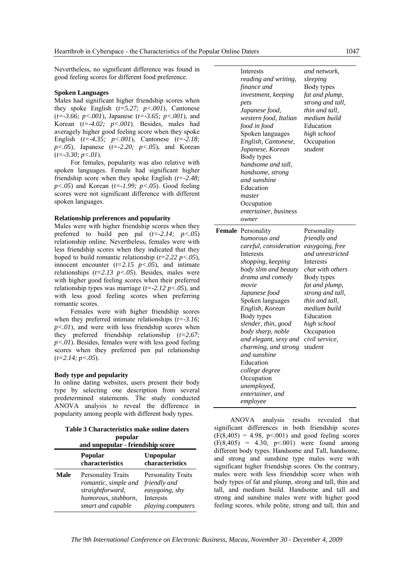Nevertheless, no significant difference was found in good feeling scores for different food preference.

#### **Spoken Languages**

Males had significant higher friendship scores when they spoke English (*t=5.27; p<.001*), Cantonese (*t=-3.66; p<.001*), Japanese (*t=-3.65; p<.001*), and Korean (*t=-4.02; p<.001*). Besides, males had averagely higher good feeling score when they spoke English (*t=-4.35; p<.001*), Cantonese (*t=-2.18; p<.05*), Japanese (*t=-2.20; p<.05*), and Korean (*t=-3.30; p<.01*).

For females, popularity was also relative with spoken languages. Female had significant higher friendship score when they spoke English (*t=-2.48;*   $p<.05$ ) and Korean ( $t=-1.99$ ;  $p<.05$ ). Good feeling scores were not significant difference with different spoken languages.

#### **Relationship preferences and popularity**

Males were with higher friendship scores when they preferred to build pen pal (*t=-2.14; p<.05*) relationship online. Nevertheless, females were with less friendship scores when they indicated that they hoped to build romantic relationship (*t=2.22 p<.05*), innocent encounter  $(t=2.15 \, p<.05)$ , and intimate relationships  $(t=2.13 \, p<.05)$ . Besides, males were with higher good feeling scores when their preferred relationship types was marriage (*t=-2.12 p<.05*), and with less good feeling scores when preferring romantic scores.

Females were with higher friendship scores when they preferred intimate relationships (*t=-3.16;*   $p<0.01$ ), and were with less friendship scores when they preferred friendship relationship (*t=2.67; p<.01*). Besides, females were with less good feeling scores when they preferred pen pal relationship (*t=2.14; p<.05*).

#### **Body type and popularity**

In online dating websites, users present their body type by selecting one description from several predetermined statements. The study conducted ANOVA analysis to reveal the difference in popularity among people with different body types.

| Table 3 Characteristics make online daters |  |  |
|--------------------------------------------|--|--|
| popular                                    |  |  |

|             | and unpopular - friendship score                                                                                  |                                                                                                      |  |  |  |
|-------------|-------------------------------------------------------------------------------------------------------------------|------------------------------------------------------------------------------------------------------|--|--|--|
|             | Popular<br>characteristics                                                                                        | <b>Unpopular</b><br>characteristics                                                                  |  |  |  |
| <b>Male</b> | <b>Personality Traits</b><br>romantic, simple and<br>straightforward,<br>humorous, stubborn,<br>smart and capable | <b>Personality Traits</b><br>friendly and<br>easygoing, shy<br><b>Interests</b><br>playing computers |  |  |  |

| Interests<br>reading and writing,<br>finance and<br>investment, keeping<br>pets<br>Japanese food,<br>western food, Italian<br>food in food<br>Spoken languages<br>English, Cantonese,<br>Japanese, Korean<br>Body types<br>handsome and tall,<br>handsome, strong<br>and sunshine<br>Education<br>master<br>Occupation<br>entertainer, business<br>owner                                                                           | and network,<br>sleeping<br>Body types<br>fat and plump,<br>strong and tall,<br>thin and tall,<br>medium build<br>Education<br>high school<br>Occupation<br>student                                                                                              |
|------------------------------------------------------------------------------------------------------------------------------------------------------------------------------------------------------------------------------------------------------------------------------------------------------------------------------------------------------------------------------------------------------------------------------------|------------------------------------------------------------------------------------------------------------------------------------------------------------------------------------------------------------------------------------------------------------------|
| Female Personality<br>humorous and<br>careful, consideration<br>Interests<br>shopping, keeping<br>body slim and beauty<br>drama and comedy<br>movie<br>Japanese food<br>Spoken languages<br>English, Korean<br>Body types<br>slender, thin, good<br>body sharp, noble<br>and elegant, sexy and<br>charming, and strong<br>and sunshine<br>Education<br>college degree<br>Occupation<br>unemployed,<br>entertainer, and<br>employee | Personality<br>friendly and<br>easygoing, free<br>and unrestricted<br>Interests<br>chat with others<br>Body types<br>fat and plump,<br>strong and tall,<br>thin and tall,<br>medium build<br>Education<br>high school<br>Occupation<br>civil service,<br>student |

ANOVA analysis results revealed that significant differences in both friendship scores  $(F(8,405) = 4.98, p<0.001)$  and good feeling scores  $(F(8,405) = 4.30, p \le 0.001)$  were found among different body types. Handsome and Tall, handsome, and strong and sunshine type males were with significant higher friendship scores. On the contrary, males were with less friendship score when with body types of fat and plump, strong and tall, thin and tall, and medium build. Handsome and tall and strong and sunshine males were with higher good feeling scores, while polite, strong and tall, thin and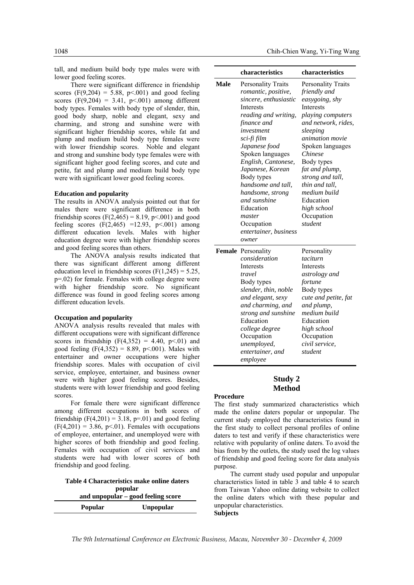tall, and medium build body type males were with lower good feeling scores.

There were significant difference in friendship scores (F(9,204) = 5.88, p <. 001) and good feeling scores  $(F(9,204) = 3.41, p<0.001)$  among different body types. Females with body type of slender, thin, good body sharp, noble and elegant, sexy and charming, and strong and sunshine were with significant higher friendship scores, while fat and plump and medium build body type females were with lower friendship scores. Noble and elegant and strong and sunshine body type females were with significant higher good feeling scores, and cute and petite, fat and plump and medium build body type were with significant lower good feeling scores.

#### **Education and popularity**

The results in ANOVA analysis pointed out that for males there were significant difference in both friendship scores (F(2,465) = 8.19, p < 001) and good feeling scores  $(F(2,465) = 12.93, p < .001)$  among different education levels. Males with higher education degree were with higher friendship scores and good feeling scores than others.

The ANOVA analysis results indicated that there was significant different among different education level in friendship scores  $(F(1,245) = 5.25)$ , p=.02) for female. Females with college degree were with higher friendship score. No significant difference was found in good feeling scores among different education levels.

#### **Occupation and popularity**

ANOVA analysis results revealed that males with different occupations were with significant difference scores in friendship  $(F(4,352) = 4.40, p<0.01)$  and good feeling  $(F(4,352) = 8.89, p < 0.001)$ . Males with entertainer and owner occupations were higher friendship scores. Males with occupation of civil service, employee, entertainer, and business owner were with higher good feeling scores. Besides, students were with lower friendship and good feeling scores.

For female there were significant difference among different occupations in both scores of friendship  $(F(4,201) = 3.18, p=01)$  and good feeling  $(F(4,201) = 3.86, p<0.01)$ . Females with occupations of employee, entertainer, and unemployed were with higher scores of both friendship and good feeling. Females with occupation of civil services and students were had with lower scores of both friendship and good feeling.

**Table 4 Characteristics make online daters popular and unpopular – good feeling score Popular Unpopular** 

|      | characteristics                                                                                                                                                                                                                                                                                                                                                                           | characteristics                                                                                                                                                                                                                                                                                                                      |
|------|-------------------------------------------------------------------------------------------------------------------------------------------------------------------------------------------------------------------------------------------------------------------------------------------------------------------------------------------------------------------------------------------|--------------------------------------------------------------------------------------------------------------------------------------------------------------------------------------------------------------------------------------------------------------------------------------------------------------------------------------|
| Male | <b>Personality Traits</b><br>romantic, positive,<br>sincere, enthusiastic<br>Interests<br>reading and writing,<br>finance and<br>investment<br>sci-fi film<br>Japanese food<br>Spoken languages<br>English, Cantonese,<br>Japanese, Korean<br>Body types<br>handsome and tall.<br>handsome, strong<br>and sunshine<br>Education<br>master<br>Occupation<br>entertainer, business<br>owner | <b>Personality Traits</b><br>friendly and<br>easygoing, shy<br>Interests<br>playing computers<br>and network, rides,<br>sleeping<br><i>animation movie</i><br>Spoken languages<br>Chinese<br>Body types<br>fat and plump,<br>strong and tall,<br>thin and tall.<br>medium build<br>Education<br>high school<br>Occupation<br>student |
|      | Female Personality<br>consideration<br>Interests<br>travel<br>Body types<br>slender, thin, noble<br>and elegant, sexy<br>and charming, and<br>strong and sunshine<br>Education<br>college degree<br>Occupation<br>unemployed,<br>entertainer, and<br>employee                                                                                                                             | Personality<br>taciturn<br>Interests<br>astrology and<br>fortune<br>Body types<br>cute and petite, fat<br>and plump,<br>medium build<br>Education<br>high school<br>Occupation<br>civil service,<br>student                                                                                                                          |

## **Study 2 Method**

#### **Procedure**

The first study summarized characteristics which made the online daters popular or unpopular. The current study employed the characteristics found in the first study to collect personal profiles of online daters to test and verify if these characteristics were relative with popularity of online daters. To avoid the bias from by the outlets, the study used the log values of friendship and good feeling score for data analysis purpose.

The current study used popular and unpopular characteristics listed in table 3 and table 4 to search from Taiwan Yahoo online dating website to collect the online daters which with these popular and unpopular characteristics. **Subjects** 

*The 9th International Conference on Electronic Business, Macau, November 30 ‐ December 4, 2009*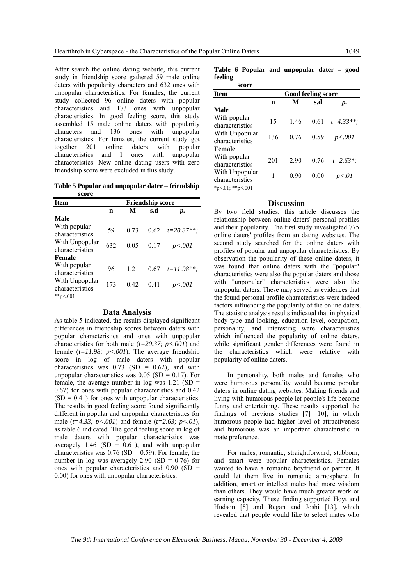After search the online dating website, this current study in friendship score gathered 59 male online daters with popularity characters and 632 ones with unpopular characteristics. For females, the current study collected 96 online daters with popular characteristics and 173 ones with unpopular characteristics. In good feeling score, this study assembled 15 male online daters with popularity characters and 136 ones with unpopular characteristics. For females, the current study got together 201 online daters with popular characteristics and 1 ones with unpopular characteristics. New online dating users with zero friendship score were excluded in this study.

**Table 5 Popular and unpopular dater – friendship score** 

| <b>Item</b>                       |     |      |      | <b>Friendship score</b> |
|-----------------------------------|-----|------|------|-------------------------|
|                                   | n   | М    | s.d  | D.                      |
| <b>Male</b>                       |     |      |      |                         |
| With popular<br>characteristics   | 59  | 0.73 | 0.62 | $t=20.37**$             |
| With Unpopular<br>characteristics | 632 | 0.05 | 0.17 | p<.001                  |
| <b>Female</b>                     |     |      |      |                         |
| With popular<br>characteristics   | 96  | 1 21 | 0.67 | $t = 11.98**$           |
| With Unpopular<br>characteristics | 173 | 0.42 | 0.41 | p<.001                  |
| ** $p<.001$                       |     |      |      |                         |

#### **Data Analysis**

As table 5 indicated, the results displayed significant differences in friendship scores between daters with popular characteristics and ones with unpopular characteristics for both male (*t=20.37; p<.001*) and female (*t=11.98; p<.001*). The average friendship score in log of male daters with popular characteristics was  $0.73$  (SD = 0.62), and with unpopular characteristics was  $0.05$  (SD = 0.17). For female, the average number in  $log$  was  $1.21$  (SD = 0.67) for ones with popular characteristics and 0.42  $(SD = 0.41)$  for ones with unpopular characteristics. The results in good feeling score found significantly different in popular and unpopular characteristics for male (*t=4.33; p<.001*) and female (*t=2.63; p<.01*), as table 6 indicated. The good feeling score in log of male daters with popular characteristics was averagely 1.46 (SD =  $0.61$ ), and with unpopular characteristics was  $0.76$  (SD = 0.59). For female, the number in log was averagely  $2.90$  (SD = 0.76) for ones with popular characteristics and 0.90 (SD = 0.00) for ones with unpopular characteristics.

**Table 6 Popular and unpopular dater – good feeling** 

| score                             |                    |      |      |               |  |
|-----------------------------------|--------------------|------|------|---------------|--|
| <b>Item</b>                       | Good feeling score |      |      |               |  |
|                                   | n                  | М    | s.d  | D.            |  |
| <b>Male</b>                       |                    |      |      |               |  |
| With popular<br>characteristics   | 15                 | 146  | 0.61 | $t = 4.33**$  |  |
| With Unpopular<br>characteristics | 136                | 0.76 | 0.59 | p<.001        |  |
| <b>Female</b>                     |                    |      |      |               |  |
| With popular<br>characteristics   | 201                | 2.90 | 0.76 | $t = 2.63$ *: |  |
| With Unpopular<br>characteristics | 1                  | 0.90 | 0.00 | p<.01         |  |
| *p<.01; **p<.001                  |                    |      |      |               |  |

#### **Discussion**

By two field studies, this article discusses the relationship between online daters' personal profiles and their popularity. The first study investigated 775 online daters' profiles from an dating websites. The second study searched for the online daters with profiles of popular and unpopular characteristics. By observation the popularity of these online daters, it was found that online daters with the "popular" characteristics were also the popular daters and those with "unpopular" characteristics were also the unpopular daters. These may served as evidences that the found personal profile characteristics were indeed factors influencing the popularity of the online daters. The statistic analysis results indicated that in physical body type and looking, education level, occupation, personality, and interesting were characteristics which influenced the popularity of online daters, while significant gender differences were found in the characteristics which were relative with popularity of online daters.

In personality, both males and females who were humorous personality would become popular daters in online dating websites. Making friends and living with humorous people let people's life become funny and entertaining. These results supported the findings of previous studies [7] [10], in which humorous people had higher level of attractiveness and humorous was an important characteristic in mate preference.

For males, romantic, straightforward, stubborn, and smart were popular characteristics. Females wanted to have a romantic boyfriend or partner. It could let them live in romantic atmosphere. In addition, smart or intellect males had more wisdom than others. They would have much greater work or earning capacity. These finding supported Hoyt and Hudson [8] and Regan and Joshi [13], which revealed that people would like to select mates who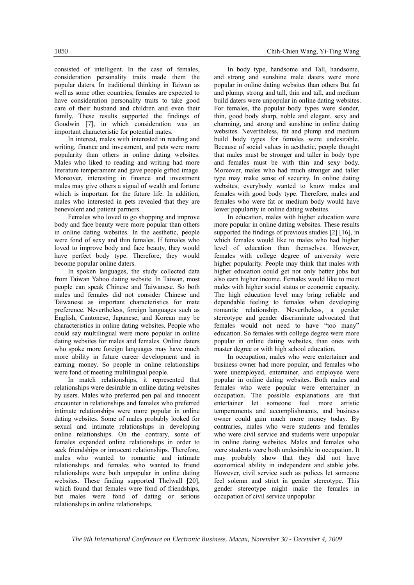consisted of intelligent. In the case of females, consideration personality traits made them the popular daters. In traditional thinking in Taiwan as well as some other countries, females are expected to have consideration personality traits to take good care of their husband and children and even their family. These results supported the findings of Goodwin [7], in which consideration was an important characteristic for potential mates.

In interest, males with interested in reading and writing, finance and investment, and pets were more popularity than others in online dating websites. Males who liked to reading and writing had more literature temperament and gave people gifted image. Moreover, interesting in finance and investment males may give others a signal of wealth and fortune which is important for the future life. In addition, males who interested in pets revealed that they are benevolent and patient partners.

Females who loved to go shopping and improve body and face beauty were more popular than others in online dating websites. In the aesthetic, people were fond of sexy and thin females. If females who loved to improve body and face beauty, they would have perfect body type. Therefore, they would become popular online daters.

In spoken languages, the study collected data from Taiwan Yahoo dating website. In Taiwan, most people can speak Chinese and Taiwanese. So both males and females did not consider Chinese and Taiwanese as important characteristics for mate preference. Nevertheless, foreign languages such as English, Cantonese, Japanese, and Korean may be characteristics in online dating websites. People who could say multilingual were more popular in online dating websites for males and females. Online daters who spoke more foreign languages may have much more ability in future career development and in earning money. So people in online relationships were fond of meeting multilingual people.

In match relationships, it represented that relationships were desirable in online dating websites by users. Males who preferred pen pal and innocent encounter in relationships and females who preferred intimate relationships were more popular in online dating websites. Some of males probably looked for sexual and intimate relationships in developing online relationships. On the contrary, some of females expanded online relationships in order to seek friendships or innocent relationships. Therefore, males who wanted to romantic and intimate relationships and females who wanted to friend relationships were both unpopular in online dating websites. These finding supported Thelwall [20], which found that females were fond of friendships, but males were fond of dating or serious relationships in online relationships.

In body type, handsome and Tall, handsome, and strong and sunshine male daters were more popular in online dating websites than others But fat and plump, strong and tall, thin and tall, and medium build daters were unpopular in online dating websites. For females, the popular body types were slender, thin, good body sharp, noble and elegant, sexy and charming, and strong and sunshine in online dating websites. Nevertheless, fat and plump and medium build body types for females were undesirable. Because of social values in aesthetic, people thought that males must be stronger and taller in body type and females must be with thin and sexy body. Moreover, males who had much stronger and taller type may make sense of security. In online dating websites, everybody wanted to know males and females with good body type. Therefore, males and females who were fat or medium body would have lower popularity in online dating websites.

In education, males with higher education were more popular in online dating websites. These results supported the findings of previous studies [2] [16], in which females would like to males who had higher level of education than themselves. However, females with college degree of university were higher popularity. People may think that males with higher education could get not only better jobs but also earn higher income. Females would like to meet males with higher social status or economic capacity. The high education level may bring reliable and dependable feeling to females when developing romantic relationship. Nevertheless, a gender stereotype and gender discriminate advocated that females would not need to have "too many" education. So females with college degree were more popular in online dating websites, than ones with master degree or with high school education.

In occupation, males who were entertainer and business owner had more popular, and females who were unemployed, entertainer, and employee were popular in online dating websites. Both males and females who were popular were entertainer in occupation. The possible explanations are that entertainer let someone feel more artistic temperaments and accomplishments, and business owner could gain much more money today. By contraries, males who were students and females who were civil service and students were unpopular in online dating websites. Males and females who were students were both undesirable in occupation. It may probably show that they did not have economical ability in independent and stable jobs. However, civil service such as polices let someone feel solemn and strict in gender stereotype. This gender stereotype might make the females in occupation of civil service unpopular.